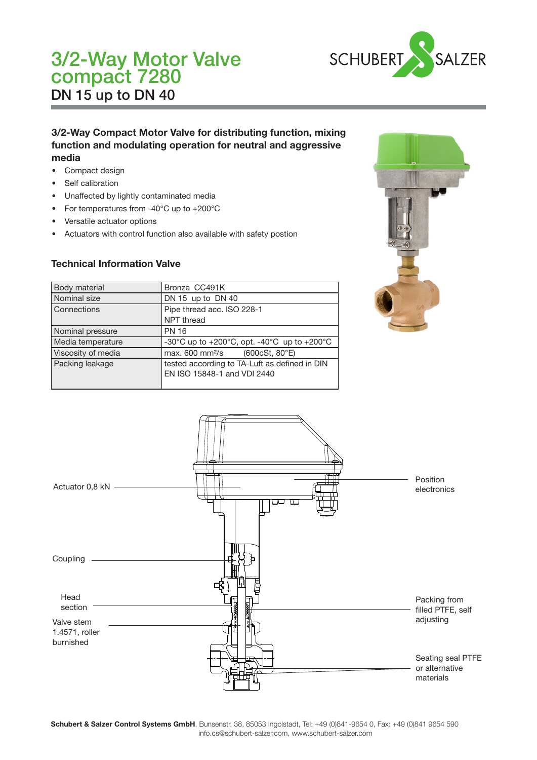# 3/2-Way Motor Valve DN 15 up to DN 40 compact 7280



# 3/2-Way Compact Motor Valve for distributing function, mixing function and modulating operation for neutral and aggressive media

- Compact design
- Self calibration
- Unaffected by lightly contaminated media
- For temperatures from -40°C up to +200°C
- Versatile actuator options
- Actuators with control function also available with safety postion

### Technical Information Valve

| Body material      | Bronze CC491K                                                                |
|--------------------|------------------------------------------------------------------------------|
| Nominal size       | DN 15 up to DN 40                                                            |
| l Connections      | Pipe thread acc. ISO 228-1                                                   |
|                    | NPT thread                                                                   |
| Nominal pressure   | <b>PN 16</b>                                                                 |
| Media temperature  | -30°C up to +200°C, opt. -40°C up to +200°C                                  |
| Viscosity of media | max. 600 mm <sup>2</sup> /s<br>(600cSt, 80°E)                                |
| Packing leakage    | tested according to TA-Luft as defined in DIN<br>EN ISO 15848-1 and VDI 2440 |





Schubert & Salzer Control Systems GmbH, Bunsenstr. 38, 85053 Ingolstadt, Tel: +49 (0)841-9654 0, Fax: +49 (0)841 9654 590 info.cs@schubert-salzer.com, www.schubert-salzer.com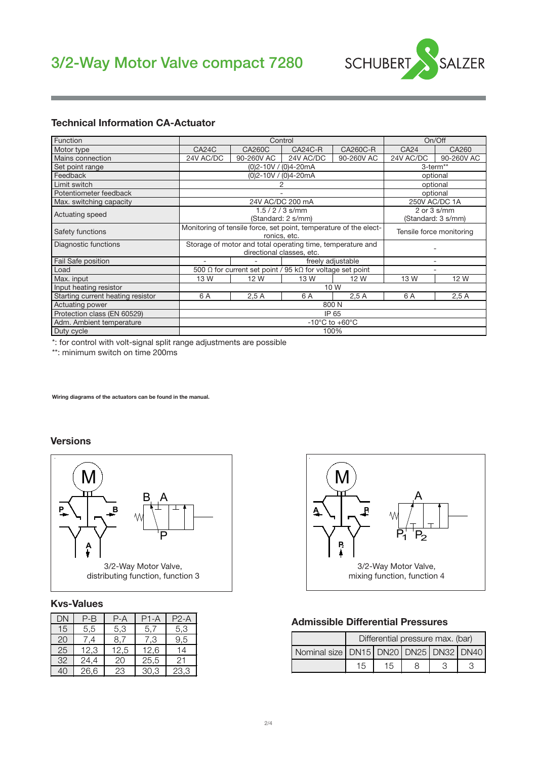

#### Technical Information CA-Actuator

| Function                          |                                    |                                                                                   | Control                                                                                 |                   |                                       | On/Off        |  |
|-----------------------------------|------------------------------------|-----------------------------------------------------------------------------------|-----------------------------------------------------------------------------------------|-------------------|---------------------------------------|---------------|--|
| Motor type                        | CA24C                              | <b>CA260C</b>                                                                     | CA24C-R                                                                                 | <b>CA260C-R</b>   | CA24                                  | CA260         |  |
| Mains connection                  | 24V AC/DC                          | 90-260V AC                                                                        | 24V AC/DC                                                                               | 90-260V AC        | 24V AC/DC                             | 90-260V AC    |  |
| Set point range                   |                                    |                                                                                   | $(0)2 - 10V / (0)4 - 20mA$                                                              |                   | 3-term <sup>**</sup>                  |               |  |
| Feedback                          |                                    |                                                                                   | (0)2-10V / (0)4-20mA                                                                    |                   | optional                              |               |  |
| Limit switch                      |                                    |                                                                                   |                                                                                         |                   |                                       | optional      |  |
| Potentiometer feedback            |                                    |                                                                                   |                                                                                         |                   |                                       | optional      |  |
| Max. switching capacity           |                                    |                                                                                   | 24V AC/DC 200 mA                                                                        |                   |                                       | 250V AC/DC 1A |  |
| Actuating speed                   |                                    |                                                                                   | $1.5 / 2 / 3$ s/mm<br>(Standard: 2 s/mm)                                                |                   | $2$ or $3$ s/mm<br>(Standard: 3 s/mm) |               |  |
| Safety functions                  |                                    | Monitoring of tensile force, set point, temperature of the elect-<br>ronics, etc. | Tensile force monitoring                                                                |                   |                                       |               |  |
| Diagnostic functions              |                                    |                                                                                   | Storage of motor and total operating time, temperature and<br>directional classes, etc. |                   |                                       |               |  |
| Fail Safe position                | ۰                                  |                                                                                   |                                                                                         | freely adjustable | ۰                                     |               |  |
| Load                              |                                    |                                                                                   | 500 $\Omega$ for current set point / 95 k $\Omega$ for voltage set point                |                   | ۰                                     |               |  |
| Max. input                        | 13 W                               | 12 W                                                                              | 13 W                                                                                    | 12 W              | 13 W                                  | 12 W          |  |
| Input heating resistor            |                                    |                                                                                   |                                                                                         | 10 W              |                                       |               |  |
| Starting current heating resistor | 6 A                                | 2.5A                                                                              |                                                                                         |                   |                                       |               |  |
| Actuating power                   | 800 N                              |                                                                                   |                                                                                         |                   |                                       |               |  |
| Protection class (EN 60529)       | IP 65                              |                                                                                   |                                                                                         |                   |                                       |               |  |
| Adm. Ambient temperature          | $-10^{\circ}$ C to $+60^{\circ}$ C |                                                                                   |                                                                                         |                   |                                       |               |  |
| Duty cycle                        | 100%                               |                                                                                   |                                                                                         |                   |                                       |               |  |

\*: for control with volt-signal split range adjustments are possible

\*\*: minimum switch on time 200ms

Wiring diagrams of the actuators can be found in the manual.

#### Versions



#### Kvs-Values

| DΝ | P-B  | P-A  | P1-A | $P2-A$ |
|----|------|------|------|--------|
| 15 | 5,5  | 5,3  | 5,7  | 5,3    |
| 20 | .4   | 8,7  | 7.3  | 9,5    |
| 25 | 12,3 | 12,5 | 12,6 | 14     |
| 32 | 24,4 | 20   | 25,5 | 21     |
| 40 | 26,6 | 23   | 30.3 | 23,3   |



#### Admissible Differential Pressures

| Differential pressure max. (bar) |                                       |  |  |  |  |  |  |  |  |
|----------------------------------|---------------------------------------|--|--|--|--|--|--|--|--|
|                                  | Nominal size DN15 DN20 DN25 DN32 DN40 |  |  |  |  |  |  |  |  |
| 15                               | 15                                    |  |  |  |  |  |  |  |  |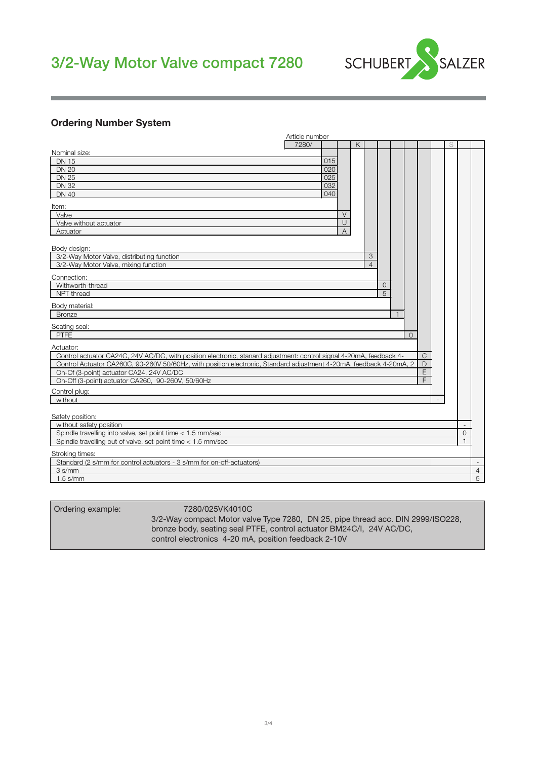# 3/2-Way Motor Valve compact 7280



## Ordering Number System

|                                                                                                                     | Article number |                |               |                |                |          |              |   |          |                |
|---------------------------------------------------------------------------------------------------------------------|----------------|----------------|---------------|----------------|----------------|----------|--------------|---|----------|----------------|
|                                                                                                                     | 7280/          |                | K             |                |                |          |              | S |          |                |
| Nominal size:                                                                                                       |                |                |               |                |                |          |              |   |          |                |
| <b>DN 15</b>                                                                                                        |                | 015            |               |                |                |          |              |   |          |                |
| <b>DN 20</b>                                                                                                        |                | 020            |               |                |                |          |              |   |          |                |
| <b>DN 25</b>                                                                                                        |                | 025            |               |                |                |          |              |   |          |                |
| <b>DN 32</b>                                                                                                        |                | 032            |               |                |                |          |              |   |          |                |
| <b>DN 40</b>                                                                                                        |                | 040            |               |                |                |          |              |   |          |                |
| Item:                                                                                                               |                |                |               |                |                |          |              |   |          |                |
| Valve                                                                                                               |                | $\vee$         |               |                |                |          |              |   |          |                |
| Valve without actuator                                                                                              |                | $\cup$         |               |                |                |          |              |   |          |                |
| Actuator                                                                                                            |                | $\overline{A}$ |               |                |                |          |              |   |          |                |
|                                                                                                                     |                |                |               |                |                |          |              |   |          |                |
| Body design:                                                                                                        |                |                |               |                |                |          |              |   |          |                |
| 3/2-Way Motor Valve, distributing function                                                                          |                |                | $\mathcal{S}$ |                |                |          |              |   |          |                |
| 3/2-Way Motor Valve, mixing function                                                                                |                |                | $\Delta$      |                |                |          |              |   |          |                |
| Connection:                                                                                                         |                |                |               |                |                |          |              |   |          |                |
| Withworth-thread                                                                                                    |                |                |               | $\overline{0}$ |                |          |              |   |          |                |
| NPT thread                                                                                                          |                |                |               | 5              |                |          |              |   |          |                |
| Body material:                                                                                                      |                |                |               |                |                |          |              |   |          |                |
| <b>Bronze</b>                                                                                                       |                |                |               |                | $\overline{1}$ |          |              |   |          |                |
|                                                                                                                     |                |                |               |                |                |          |              |   |          |                |
| Seating seal:                                                                                                       |                |                |               |                |                |          |              |   |          |                |
| <b>PTFE</b>                                                                                                         |                |                |               |                |                | $\Omega$ |              |   |          |                |
| Actuator:                                                                                                           |                |                |               |                |                |          |              |   |          |                |
| Control actuator CA24C, 24V AC/DC, with position electronic, stanard adjustment: control signal 4-20mA, feedback 4- |                |                |               |                |                |          | $\mathsf{C}$ |   |          |                |
| Control Actuator CA260C, 90-260V 50/60Hz, with position electronic, Standard adjustment 4-20mA, feedback 4-20mA, 2  |                |                |               |                |                |          | D            |   |          |                |
| On-Of (3-point) actuator CA24, 24V AC/DC                                                                            |                |                |               |                |                |          | E            |   |          |                |
| On-Off (3-point) actuator CA260, 90-260V, 50/60Hz                                                                   |                |                |               |                |                |          | F.           |   |          |                |
| Control plug:                                                                                                       |                |                |               |                |                |          |              |   |          |                |
| without                                                                                                             |                |                |               |                |                |          |              |   |          |                |
|                                                                                                                     |                |                |               |                |                |          |              |   |          |                |
| Safety position:                                                                                                    |                |                |               |                |                |          |              |   |          |                |
| without safety position                                                                                             |                |                |               |                |                |          |              |   |          |                |
| Spindle travelling into valve, set point time < 1.5 mm/sec                                                          |                |                |               |                |                |          |              |   | $\Omega$ |                |
| Spindle travelling out of valve, set point time < 1.5 mm/sec                                                        |                |                |               |                |                |          |              |   |          |                |
| Stroking times:                                                                                                     |                |                |               |                |                |          |              |   |          |                |
| Standard (2 s/mm for control actuators - 3 s/mm for on-off-actuators)                                               |                |                |               |                |                |          |              |   |          |                |
| $3 \text{ s/mm}$                                                                                                    |                |                |               |                |                |          |              |   |          | $\overline{4}$ |
| $1.5$ s/mm                                                                                                          |                |                |               |                |                |          |              |   |          | 5              |

| Ordering example:                                                    | 7280/025VK4010C                                                                 |  |  |  |
|----------------------------------------------------------------------|---------------------------------------------------------------------------------|--|--|--|
|                                                                      | 3/2-Way compact Motor valve Type 7280, DN 25, pipe thread acc. DIN 2999/ISO228, |  |  |  |
| bronze body, seating seal PTFE, control actuator BM24C/I, 24V AC/DC, |                                                                                 |  |  |  |
|                                                                      | control electronics 4-20 mA, position feedback 2-10V                            |  |  |  |